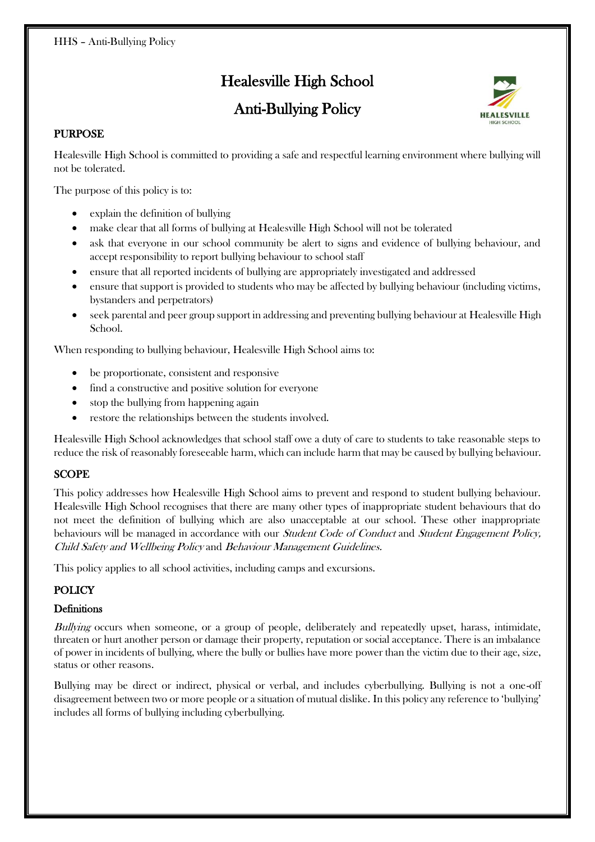# Healesville High School

# Anti-Bullying Policy



## PURPOSE

Healesville High School is committed to providing a safe and respectful learning environment where bullying will not be tolerated.

The purpose of this policy is to:

- explain the definition of bullying
- make clear that all forms of bullying at Healesville High School will not be tolerated
- ask that everyone in our school community be alert to signs and evidence of bullying behaviour, and accept responsibility to report bullying behaviour to school staff
- ensure that all reported incidents of bullying are appropriately investigated and addressed
- ensure that support is provided to students who may be affected by bullying behaviour (including victims, bystanders and perpetrators)
- seek parental and peer group support in addressing and preventing bullying behaviour at Healesville High School.

When responding to bullying behaviour, Healesville High School aims to:

- be proportionate, consistent and responsive
- find a constructive and positive solution for everyone
- stop the bullying from happening again
- restore the relationships between the students involved.

Healesville High School acknowledges that school staff owe a duty of care to students to take reasonable steps to reduce the risk of reasonably foreseeable harm, which can include harm that may be caused by bullying behaviour.

#### SCOPE

This policy addresses how Healesville High School aims to prevent and respond to student bullying behaviour. Healesville High School recognises that there are many other types of inappropriate student behaviours that do not meet the definition of bullying which are also unacceptable at our school. These other inappropriate behaviours will be managed in accordance with our *Student Code of Conduct* and *Student Engagement Policy*, Child Safety and Wellbeing Policy and Behaviour Management Guidelines.

This policy applies to all school activities, including camps and excursions.

# **POLICY**

#### **Definitions**

Bullying occurs when someone, or a group of people, deliberately and repeatedly upset, harass, intimidate, threaten or hurt another person or damage their property, reputation or social acceptance. There is an imbalance of power in incidents of bullying, where the bully or bullies have more power than the victim due to their age, size, status or other reasons.

Bullying may be direct or indirect, physical or verbal, and includes cyberbullying. Bullying is not a one-off disagreement between two or more people or a situation of mutual dislike. In this policy any reference to 'bullying' includes all forms of bullying including cyberbullying.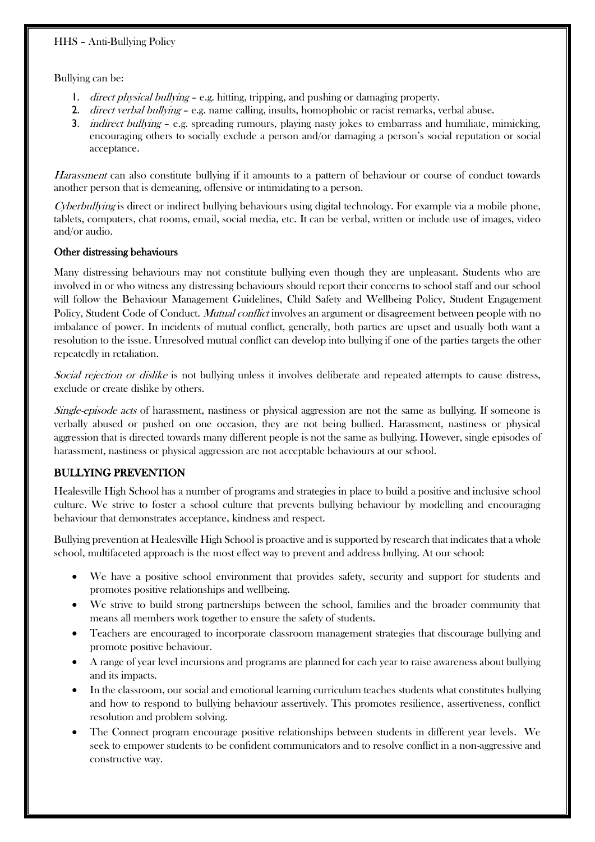#### HHS – Anti-Bullying Policy

Bullying can be:

- 1. direct physical bullying e.g. hitting, tripping, and pushing or damaging property.
- 2. *direct verbal bullying e.g.* name calling, insults, homophobic or racist remarks, verbal abuse.
- 3. *indirect bullying e.g.* spreading rumours, playing nasty jokes to embarrass and humiliate, mimicking, encouraging others to socially exclude a person and/or damaging a person's social reputation or social acceptance.

Harassment can also constitute bullying if it amounts to a pattern of behaviour or course of conduct towards another person that is demeaning, offensive or intimidating to a person.

Cyberbullying is direct or indirect bullying behaviours using digital technology. For example via a mobile phone, tablets, computers, chat rooms, email, social media, etc. It can be verbal, written or include use of images, video and/or audio.

#### Other distressing behaviours

Many distressing behaviours may not constitute bullying even though they are unpleasant. Students who are involved in or who witness any distressing behaviours should report their concerns to school staff and our school will follow the Behaviour Management Guidelines, Child Safety and Wellbeing Policy, Student Engagement Policy, Student Code of Conduct. *Mutual conflict* involves an argument or disagreement between people with no imbalance of power. In incidents of mutual conflict, generally, both parties are upset and usually both want a resolution to the issue. Unresolved mutual conflict can develop into bullying if one of the parties targets the other repeatedly in retaliation.

Social rejection or dislike is not bullying unless it involves deliberate and repeated attempts to cause distress, exclude or create dislike by others.

Single-episode acts of harassment, nastiness or physical aggression are not the same as bullying. If someone is verbally abused or pushed on one occasion, they are not being bullied. Harassment, nastiness or physical aggression that is directed towards many different people is not the same as bullying. However, single episodes of harassment, nastiness or physical aggression are not acceptable behaviours at our school.

#### BULLYING PREVENTION

Healesville High School has a number of programs and strategies in place to build a positive and inclusive school culture. We strive to foster a school culture that prevents bullying behaviour by modelling and encouraging behaviour that demonstrates acceptance, kindness and respect.

Bullying prevention at Healesville High School is proactive and is supported by research that indicates that a whole school, multifaceted approach is the most effect way to prevent and address bullying. At our school:

- We have a positive school environment that provides safety, security and support for students and promotes positive relationships and wellbeing.
- We strive to build strong partnerships between the school, families and the broader community that means all members work together to ensure the safety of students.
- Teachers are encouraged to incorporate classroom management strategies that discourage bullying and promote positive behaviour.
- A range of year level incursions and programs are planned for each year to raise awareness about bullying and its impacts.
- In the classroom, our social and emotional learning curriculum teaches students what constitutes bullying and how to respond to bullying behaviour assertively. This promotes resilience, assertiveness, conflict resolution and problem solving.
- The Connect program encourage positive relationships between students in different year levels. We seek to empower students to be confident communicators and to resolve conflict in a non-aggressive and constructive way.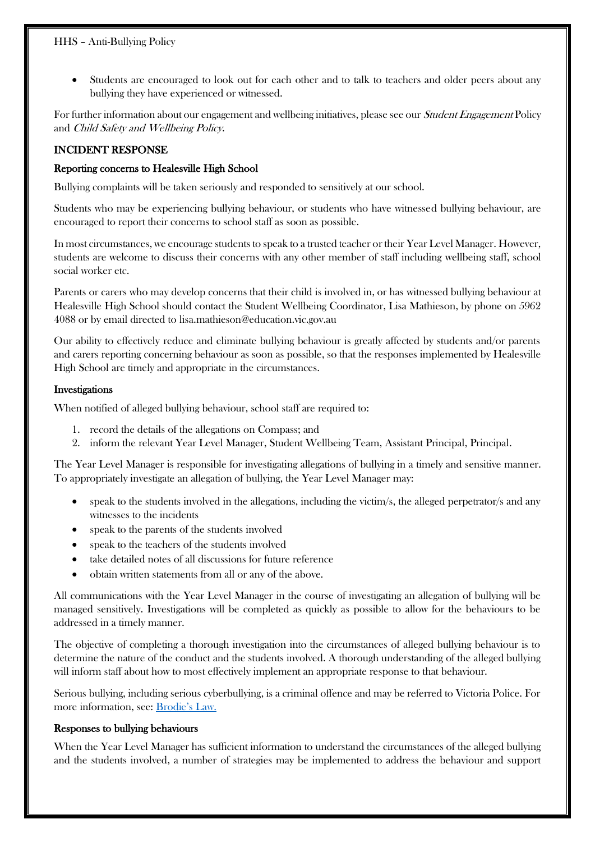• Students are encouraged to look out for each other and to talk to teachers and older peers about any bullying they have experienced or witnessed.

For further information about our engagement and wellbeing initiatives, please see our *Student Engagement* Policy and Child Safety and Wellbeing Policy.

#### INCIDENT RESPONSE

#### Reporting concerns to Healesville High School

Bullying complaints will be taken seriously and responded to sensitively at our school.

Students who may be experiencing bullying behaviour, or students who have witnessed bullying behaviour, are encouraged to report their concerns to school staff as soon as possible.

In most circumstances, we encourage students to speak to a trusted teacher or their Year Level Manager. However, students are welcome to discuss their concerns with any other member of staff including wellbeing staff, school social worker etc.

Parents or carers who may develop concerns that their child is involved in, or has witnessed bullying behaviour at Healesville High School should contact the Student Wellbeing Coordinator, Lisa Mathieson, by phone on 5962 4088 or by email directed to lisa.mathieson@education.vic.gov.au

Our ability to effectively reduce and eliminate bullying behaviour is greatly affected by students and/or parents and carers reporting concerning behaviour as soon as possible, so that the responses implemented by Healesville High School are timely and appropriate in the circumstances.

#### Investigations

When notified of alleged bullying behaviour, school staff are required to:

- 1. record the details of the allegations on Compass; and
- 2. inform the relevant Year Level Manager, Student Wellbeing Team, Assistant Principal, Principal.

The Year Level Manager is responsible for investigating allegations of bullying in a timely and sensitive manner. To appropriately investigate an allegation of bullying, the Year Level Manager may:

- speak to the students involved in the allegations, including the victim/s, the alleged perpetrator/s and any witnesses to the incidents
- speak to the parents of the students involved
- speak to the teachers of the students involved
- take detailed notes of all discussions for future reference
- obtain written statements from all or any of the above.

All communications with the Year Level Manager in the course of investigating an allegation of bullying will be managed sensitively. Investigations will be completed as quickly as possible to allow for the behaviours to be addressed in a timely manner.

The objective of completing a thorough investigation into the circumstances of alleged bullying behaviour is to determine the nature of the conduct and the students involved. A thorough understanding of the alleged bullying will inform staff about how to most effectively implement an appropriate response to that behaviour.

Serious bullying, including serious cyberbullying, is a criminal offence and may be referred to Victoria Police. For more information, see: [Brodie's Law.](http://www.education.vic.gov.au/about/programs/bullystoppers/Pages/advicesheetbrodieslaw.aspx)

#### Responses to bullying behaviours

When the Year Level Manager has sufficient information to understand the circumstances of the alleged bullying and the students involved, a number of strategies may be implemented to address the behaviour and support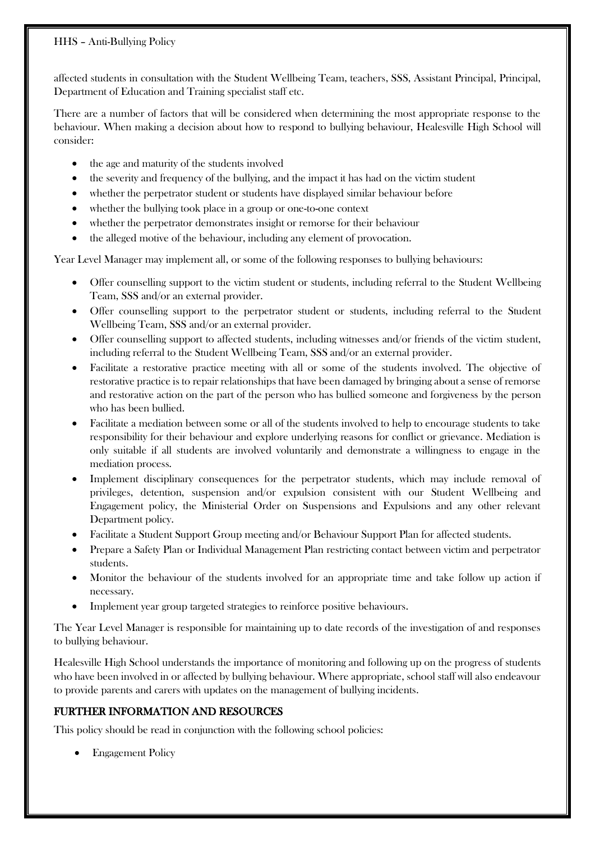#### HHS – Anti-Bullying Policy

affected students in consultation with the Student Wellbeing Team, teachers, SSS, Assistant Principal, Principal, Department of Education and Training specialist staff etc.

There are a number of factors that will be considered when determining the most appropriate response to the behaviour. When making a decision about how to respond to bullying behaviour, Healesville High School will consider:

- the age and maturity of the students involved
- the severity and frequency of the bullying, and the impact it has had on the victim student
- whether the perpetrator student or students have displayed similar behaviour before
- whether the bullying took place in a group or one-to-one context
- whether the perpetrator demonstrates insight or remorse for their behaviour
- the alleged motive of the behaviour, including any element of provocation.

Year Level Manager may implement all, or some of the following responses to bullying behaviours:

- Offer counselling support to the victim student or students, including referral to the Student Wellbeing Team, SSS and/or an external provider.
- Offer counselling support to the perpetrator student or students, including referral to the Student Wellbeing Team, SSS and/or an external provider.
- Offer counselling support to affected students, including witnesses and/or friends of the victim student, including referral to the Student Wellbeing Team, SSS and/or an external provider.
- Facilitate a restorative practice meeting with all or some of the students involved. The objective of restorative practice is to repair relationships that have been damaged by bringing about a sense of remorse and restorative action on the part of the person who has bullied someone and forgiveness by the person who has been bullied.
- Facilitate a mediation between some or all of the students involved to help to encourage students to take responsibility for their behaviour and explore underlying reasons for conflict or grievance. Mediation is only suitable if all students are involved voluntarily and demonstrate a willingness to engage in the mediation process.
- Implement disciplinary consequences for the perpetrator students, which may include removal of privileges, detention, suspension and/or expulsion consistent with our Student Wellbeing and Engagement policy, the Ministerial Order on Suspensions and Expulsions and any other relevant Department policy.
- Facilitate a Student Support Group meeting and/or Behaviour Support Plan for affected students.
- Prepare a Safety Plan or Individual Management Plan restricting contact between victim and perpetrator students.
- Monitor the behaviour of the students involved for an appropriate time and take follow up action if necessary.
- Implement year group targeted strategies to reinforce positive behaviours.

The Year Level Manager is responsible for maintaining up to date records of the investigation of and responses to bullying behaviour.

Healesville High School understands the importance of monitoring and following up on the progress of students who have been involved in or affected by bullying behaviour. Where appropriate, school staff will also endeavour to provide parents and carers with updates on the management of bullying incidents.

# FURTHER INFORMATION AND RESOURCES

This policy should be read in conjunction with the following school policies:

• Engagement Policy